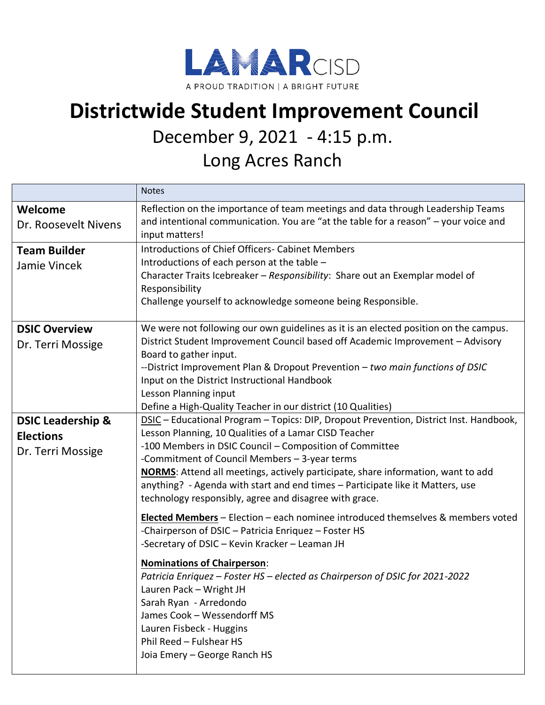

## **Districtwide Student Improvement Council**

## December 9, 2021 - 4:15 p.m.

Long Acres Ranch

|                                                                       | <b>Notes</b>                                                                                                                                                                                                                                                                                                                                                                                                                                                                                |
|-----------------------------------------------------------------------|---------------------------------------------------------------------------------------------------------------------------------------------------------------------------------------------------------------------------------------------------------------------------------------------------------------------------------------------------------------------------------------------------------------------------------------------------------------------------------------------|
| Welcome<br>Dr. Roosevelt Nivens                                       | Reflection on the importance of team meetings and data through Leadership Teams<br>and intentional communication. You are "at the table for a reason" - your voice and<br>input matters!                                                                                                                                                                                                                                                                                                    |
| <b>Team Builder</b><br>Jamie Vincek                                   | <b>Introductions of Chief Officers- Cabinet Members</b><br>Introductions of each person at the table -<br>Character Traits Icebreaker - Responsibility: Share out an Exemplar model of<br>Responsibility<br>Challenge yourself to acknowledge someone being Responsible.                                                                                                                                                                                                                    |
| <b>DSIC Overview</b><br>Dr. Terri Mossige                             | We were not following our own guidelines as it is an elected position on the campus.<br>District Student Improvement Council based off Academic Improvement - Advisory<br>Board to gather input.<br>--District Improvement Plan & Dropout Prevention - two main functions of DSIC<br>Input on the District Instructional Handbook<br>Lesson Planning input<br>Define a High-Quality Teacher in our district (10 Qualities)                                                                  |
| <b>DSIC Leadership &amp;</b><br><b>Elections</b><br>Dr. Terri Mossige | DSIC - Educational Program - Topics: DIP, Dropout Prevention, District Inst. Handbook,<br>Lesson Planning, 10 Qualities of a Lamar CISD Teacher<br>-100 Members in DSIC Council - Composition of Committee<br>-Commitment of Council Members - 3-year terms<br>NORMS: Attend all meetings, actively participate, share information, want to add<br>anything? - Agenda with start and end times - Participate like it Matters, use<br>technology responsibly, agree and disagree with grace. |
|                                                                       | Elected Members - Election - each nominee introduced themselves & members voted<br>-Chairperson of DSIC - Patricia Enriquez - Foster HS<br>-Secretary of DSIC - Kevin Kracker - Leaman JH<br><b>Nominations of Chairperson:</b><br>Patricia Enriquez - Foster HS - elected as Chairperson of DSIC for 2021-2022<br>Lauren Pack - Wright JH<br>Sarah Ryan - Arredondo<br>James Cook - Wessendorff MS<br>Lauren Fisbeck - Huggins<br>Phil Reed - Fulshear HS<br>Joia Emery - George Ranch HS  |